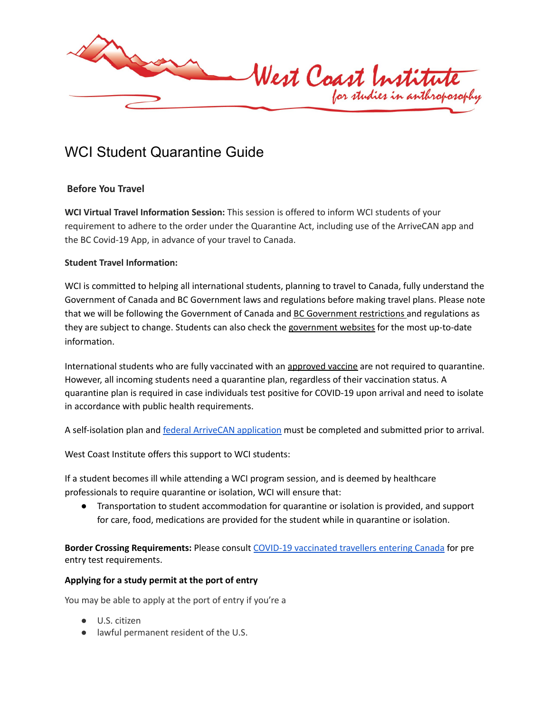

# WCI Student Quarantine Guide

## **Before You Travel**

**WCI Virtual Travel Information Session:** This session is offered to inform WCI students of your requirement to adhere to the order under the Quarantine Act, including use of the ArriveCAN app and the BC Covid-19 App, in advance of your travel to Canada.

## **Student Travel Information:**

WCI is committed to helping all international students, planning to travel to Canada, fully understand the Government of Canada and BC Government laws and regulations before making travel plans. Please note that we will be following the Government of Canada and BC [Government](https://travel.gc.ca/travel-covid/travel-restrictions/provinces) restrictions and regulations as they are subject to change. Students can also check the [government](https://travel.gc.ca/travel-covid/) websites for the most up-to-date information.

International students who are fully vaccinated with an [approved](https://www.canada.ca/en/health-canada/services/drugs-health-products/covid19-industry/drugs-vaccines-treatments/vaccines.html) vaccine are not required to quarantine. However, all incoming students need a quarantine plan, regardless of their vaccination status. A quarantine plan is required in case individuals test positive for COVID-19 upon arrival and need to isolate in accordance with public health requirements.

A self-isolation plan and federal ArriveCAN [application](https://www.canada.ca/en/public-health/services/diseases/coronavirus-disease-covid-19/arrivecan.html) must be completed and submitted prior to arrival.

West Coast Institute offers this support to WCI students:

If a student becomes ill while attending a WCI program session, and is deemed by healthcare professionals to require quarantine or isolation, WCI will ensure that:

● Transportation to student accommodation for quarantine or isolation is provided, and support for care, food, medications are provided for the student while in quarantine or isolation.

**Border Crossing Requirements:** Please consult COVID-19 [vaccinated](https://travel.gc.ca/travel-covid/travel-restrictions/covid-vaccinated-travellers-entering-canada#entry-vaccinated) travellers entering Canada for pre entry test requirements.

## **Applying for a study permit at the port of entry**

You may be able to apply at the port of entry if you're a

- U.S. citizen
- lawful permanent resident of the U.S.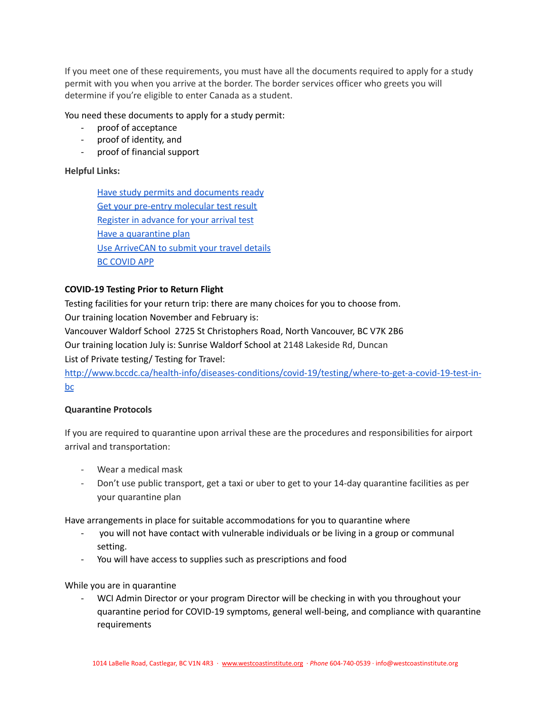If you meet one of these requirements, you must have all the documents required to apply for a study permit with you when you arrive at the border. The border services officer who greets you will determine if you're eligible to enter Canada as a student.

You need these documents to apply for a study permit:

- proof of acceptance
- proof of identity, and
- proof of financial support

#### **Helpful Links:**

Have study permits and [documents](https://travel.gc.ca/travel-covid/travel-restrictions/visitors-workers-students#students) ready Get your pre-entry [molecular](https://travel.gc.ca/travel-covid/travel-restrictions/flying-canada-checklist/covid-19-testing-travellers-coming-into-canada#getting-tested) test result Register in [advance](https://travel.gc.ca/travel-covid/travel-restrictions/flying-canada-checklist/covid-19-testing-travellers-coming-into-canada#arrival-testing-unvaccinated) for your arrival test Have a [quarantine](https://travel.gc.ca/travel-covid/travel-restrictions/isolation#plan) plan Use [ArriveCAN](https://www.canada.ca/en/public-health/services/diseases/coronavirus-disease-covid-19/arrivecan.html#a3) to submit your travel details BC [COVID](https://bc.thrive.health/) APP

#### **COVID-19 Testing Prior to Return Flight**

Testing facilities for your return trip: there are many choices for you to choose from.

Our training location November and February is:

Vancouver Waldorf School 2725 St Christophers Road, North Vancouver, BC V7K 2B6

Our training location July is: Sunrise Waldorf School at 2148 Lakeside Rd, Duncan

List of Private testing/ Testing for Travel:

[http://www.bccdc.ca/health-info/diseases-conditions/covid-19/testing/where-to-get-a-covid-19-test-in](http://www.bccdc.ca/health-info/diseases-conditions/covid-19/testing/where-to-get-a-covid-19-test-in-bc)[bc](http://www.bccdc.ca/health-info/diseases-conditions/covid-19/testing/where-to-get-a-covid-19-test-in-bc)

#### **Quarantine Protocols**

If you are required to quarantine upon arrival these are the procedures and responsibilities for airport arrival and transportation:

- Wear a medical mask
- Don't use public transport, get a taxi or uber to get to your 14-day quarantine facilities as per your quarantine plan

Have arrangements in place for suitable accommodations for you to quarantine where

- you will not have contact with vulnerable individuals or be living in a group or communal setting.
- You will have access to supplies such as prescriptions and food

While you are in quarantine

- WCI Admin Director or your program Director will be checking in with you throughout your quarantine period for COVID-19 symptoms, general well-being, and compliance with quarantine requirements